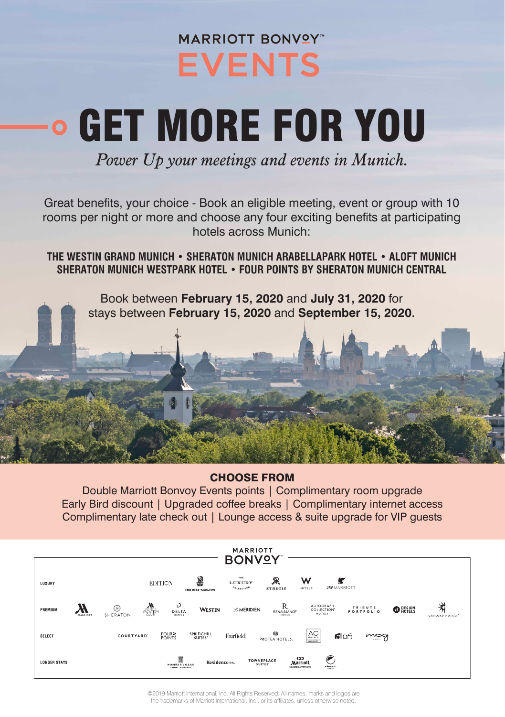## **MARRIOTT BONVOY EVENTS**

# GET MORE FOR YOU

*Power Up your meetings and events in Munich.*

Great benefits, your choice - Book an eligible meeting, event or group with 10 rooms per night or more and choose any four exciting benefits at participating hotels across Munich:

**THE WESTIN GRAND MUNICH • SHERATON MUNICH ARABELLAPARK HOTEL • ALOFT MUNICH SHERATON MUNICH WESTPARK HOTEL • FOUR POINTS BY SHERATON MUNICH CENTRAL**

Book between **February 15, 2020** and **July 31, 2020** for stays between **February 15, 2020** and **September 15, 2020**.



#### CHOOSE FROM

Double Marriott Bonvoy Events points | Complimentary room upgrade Early Bird discount | Upgraded coffee breaks | Complimentary internet access Complimentary late check out | Lounge access & suite upgrade for VIP guests

| <b>MARRIOTT</b><br><b>BONVOY</b> |               |                  |                                                             |                                   |                             |                                    |                                                           |                                                                           |                 |                            |
|----------------------------------|---------------|------------------|-------------------------------------------------------------|-----------------------------------|-----------------------------|------------------------------------|-----------------------------------------------------------|---------------------------------------------------------------------------|-----------------|----------------------------|
| LUXURY                           |               |                  | <b>EDITION</b>                                              | 2<br>THE RITZ-CARLTON             | THE<br>LUXURY<br>COLLEGIION | ぷ<br><b>STREGIS</b>                | w<br>HOTELS                                               | ĸ<br><b>JWMARRIOTT</b>                                                    |                 |                            |
| PREMIUM                          | -<br>MARRIOTT | ഭ<br>SHERATON    | Ð<br>$\mathbf{M}$<br>DELTA<br>CLUB<br>HOTELS                | WESTIN                            | <b>Z MERIDIEN</b>           | R.<br><b>RENAISSANCE</b><br>HOTELS |                                                           | <b>AUTOGRAPH</b><br><b>TRIBUTE</b><br>COLLECTION"<br>PORTFOLIO<br>HOTELS. | <b>O</b> PESIGN | 术<br><b>GAYLORD HOTELS</b> |
| SELECT                           |               | <b>COURTYARD</b> | <b>FOUR X</b><br><b>POINTS</b>                              | SPRINGHILL<br>SUITES <sup>®</sup> | Fairfield                   | <b>GB</b><br>PROTEA HOTELS.        | AC<br>HOTELS<br>MASSOTT                                   | <b>Floft</b><br>$M_{\odot}$<br><b>HATALL</b>                              |                 |                            |
| <b>LONGER STAYS</b>              |               |                  | m<br><b>HOMES &amp; VILLAS</b><br>In waste of Factbook Many | Residence INC                     |                             | TOWNEPLACE<br>SUITES'              | $\infty$<br><b>Marriott</b><br><b>DECEPTIC APAIEMENTS</b> | element<br><b>CONSTRUCTION</b>                                            |                 |                            |

©2019 Marriott International, Inc. All Rights Reserved. All names, marks and logos are the trademarks of Marriott International, Inc., or its affiliates, unless otherwise noted.